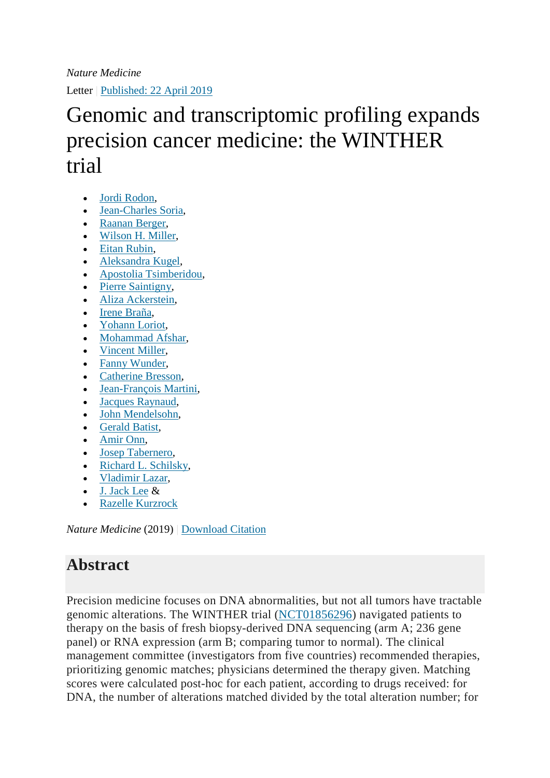Letter | Published: [22 April 2019](https://www.nature.com/articles/s41591-019-0424-4#article-info)

## Genomic and transcriptomic profiling expands precision cancer medicine: the WINTHER trial

- [Jordi Rodon,](https://www.nature.com/articles/s41591-019-0424-4#auth-1)
- [Jean-Charles Soria,](https://www.nature.com/articles/s41591-019-0424-4#auth-2)
- [Raanan Berger,](https://www.nature.com/articles/s41591-019-0424-4#auth-3)
- [Wilson H. Miller,](https://www.nature.com/articles/s41591-019-0424-4#auth-4)
- [Eitan Rubin,](https://www.nature.com/articles/s41591-019-0424-4#auth-5)
- [Aleksandra Kugel,](https://www.nature.com/articles/s41591-019-0424-4#auth-6)
- [Apostolia Tsimberidou,](https://www.nature.com/articles/s41591-019-0424-4#auth-7)
- [Pierre Saintigny,](https://www.nature.com/articles/s41591-019-0424-4#auth-8)
- [Aliza Ackerstein,](https://www.nature.com/articles/s41591-019-0424-4#auth-9)
- [Irene Braña,](https://www.nature.com/articles/s41591-019-0424-4#auth-10)
- [Yohann Loriot,](https://www.nature.com/articles/s41591-019-0424-4#auth-11)
- [Mohammad Afshar,](https://www.nature.com/articles/s41591-019-0424-4#auth-12)
- [Vincent Miller,](https://www.nature.com/articles/s41591-019-0424-4#auth-13)
- [Fanny Wunder,](https://www.nature.com/articles/s41591-019-0424-4#auth-14)
- [Catherine Bresson,](https://www.nature.com/articles/s41591-019-0424-4#auth-15)
- [Jean-François Martini,](https://www.nature.com/articles/s41591-019-0424-4#auth-16)
- [Jacques Raynaud,](https://www.nature.com/articles/s41591-019-0424-4#auth-17)
- [John Mendelsohn,](https://www.nature.com/articles/s41591-019-0424-4#auth-18)
- [Gerald Batist,](https://www.nature.com/articles/s41591-019-0424-4#auth-19)
- [Amir Onn,](https://www.nature.com/articles/s41591-019-0424-4#auth-20)
- [Josep Tabernero,](https://www.nature.com/articles/s41591-019-0424-4#auth-21)
- [Richard L. Schilsky,](https://www.nature.com/articles/s41591-019-0424-4#auth-22)
- [Vladimir Lazar,](https://www.nature.com/articles/s41591-019-0424-4#auth-23)
- [J. Jack Lee](https://www.nature.com/articles/s41591-019-0424-4#auth-24) &
- [Razelle Kurzrock](https://www.nature.com/articles/s41591-019-0424-4#auth-25)

*Nature Medicine* (2019) | [Download Citation](https://www.nature.com/articles/s41591-019-0424-4.ris)

## **Abstract**

Precision medicine focuses on DNA abnormalities, but not all tumors have tractable genomic alterations. The WINTHER trial [\(NCT01856296\)](https://clinicaltrials.gov/ct2/show/NCT01856296?term=NCT01856296&rank=1) navigated patients to therapy on the basis of fresh biopsy-derived DNA sequencing (arm A; 236 gene panel) or RNA expression (arm B; comparing tumor to normal). The clinical management committee (investigators from five countries) recommended therapies, prioritizing genomic matches; physicians determined the therapy given. Matching scores were calculated post-hoc for each patient, according to drugs received: for DNA, the number of alterations matched divided by the total alteration number; for